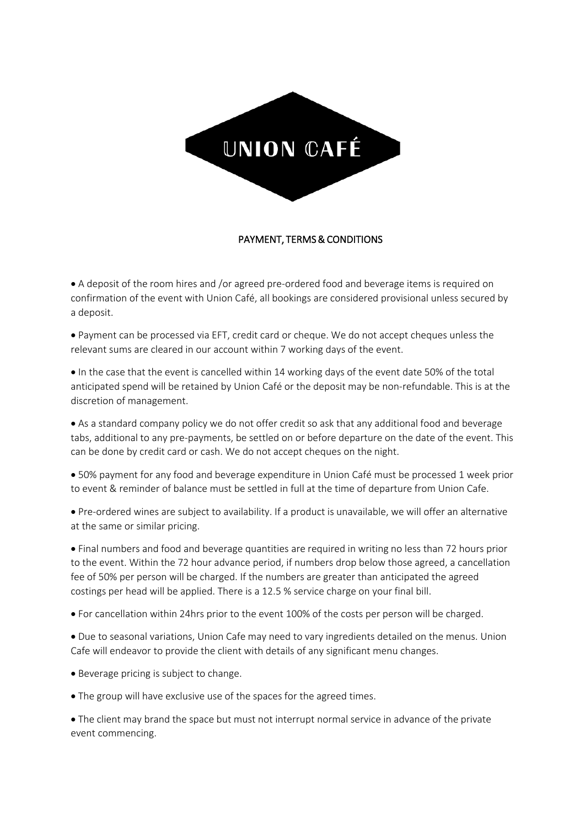

## PAYMENT, TERMS & CONDITIONS

• A deposit of the room hires and /or agreed pre-ordered food and beverage items is required on confirmation of the event with Union Café, all bookings are considered provisional unless secured by a deposit.

• Payment can be processed via EFT, credit card or cheque. We do not accept cheques unless the relevant sums are cleared in our account within 7 working days of the event.

• In the case that the event is cancelled within 14 working days of the event date 50% of the total anticipated spend will be retained by Union Café or the deposit may be non-refundable. This is at the discretion of management.

• As a standard company policy we do not offer credit so ask that any additional food and beverage tabs, additional to any pre-payments, be settled on or before departure on the date of the event. This can be done by credit card or cash. We do not accept cheques on the night.

• 50% payment for any food and beverage expenditure in Union Café must be processed 1 week prior to event & reminder of balance must be settled in full at the time of departure from Union Cafe.

• Pre-ordered wines are subject to availability. If a product is unavailable, we will offer an alternative at the same or similar pricing.

• Final numbers and food and beverage quantities are required in writing no less than 72 hours prior to the event. Within the 72 hour advance period, if numbers drop below those agreed, a cancellation fee of 50% per person will be charged. If the numbers are greater than anticipated the agreed costings per head will be applied. There is a 12.5 % service charge on your final bill.

• For cancellation within 24hrs prior to the event 100% of the costs per person will be charged.

• Due to seasonal variations, Union Cafe may need to vary ingredients detailed on the menus. Union Cafe will endeavor to provide the client with details of any significant menu changes.

• Beverage pricing is subject to change.

• The group will have exclusive use of the spaces for the agreed times.

• The client may brand the space but must not interrupt normal service in advance of the private event commencing.